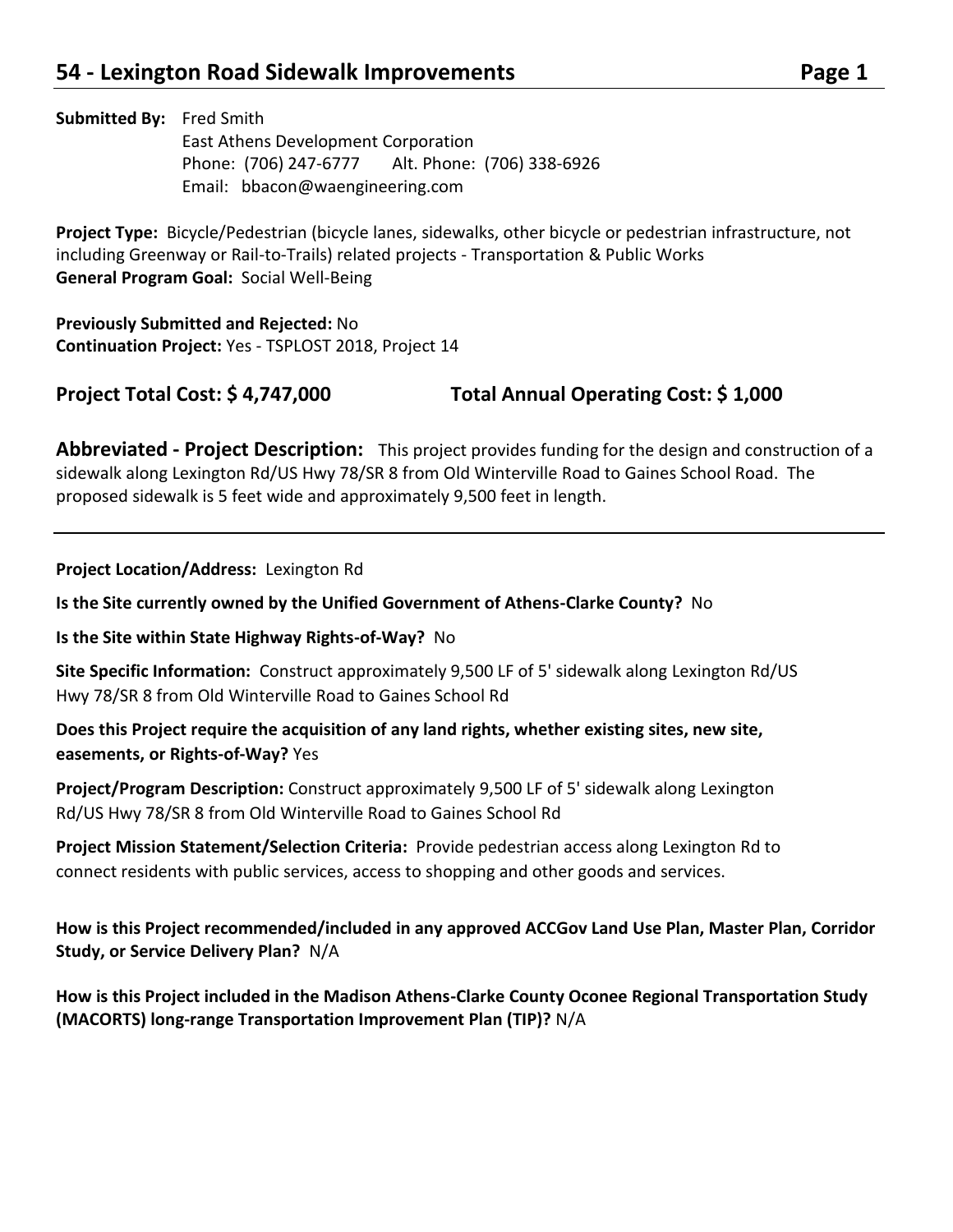### **54 - Lexington Road Sidewalk Improvements Page 1**

#### **Submitted By:** Fred Smith East Athens Development Corporation Phone: (706) 247-6777 Alt. Phone: (706) 338-6926 Email: bbacon@waengineering.com

**Project Type:** Bicycle/Pedestrian (bicycle lanes, sidewalks, other bicycle or pedestrian infrastructure, not including Greenway or Rail-to-Trails) related projects - Transportation & Public Works **General Program Goal:** Social Well-Being

**Previously Submitted and Rejected:** No **Continuation Project:** Yes - TSPLOST 2018, Project 14

**Project Total Cost: \$ 4,747,000 Total Annual Operating Cost: \$ 1,000**

**Abbreviated - Project Description:** This project provides funding for the design and construction of a sidewalk along Lexington Rd/US Hwy 78/SR 8 from Old Winterville Road to Gaines School Road. The proposed sidewalk is 5 feet wide and approximately 9,500 feet in length.

**Project Location/Address:** Lexington Rd

**Is the Site currently owned by the Unified Government of Athens-Clarke County?** No

**Is the Site within State Highway Rights-of-Way?** No

**Site Specific Information:** Construct approximately 9,500 LF of 5' sidewalk along Lexington Rd/US Hwy 78/SR 8 from Old Winterville Road to Gaines School Rd

**Does this Project require the acquisition of any land rights, whether existing sites, new site, easements, or Rights-of-Way?** Yes

**Project/Program Description:** Construct approximately 9,500 LF of 5' sidewalk along Lexington Rd/US Hwy 78/SR 8 from Old Winterville Road to Gaines School Rd

**Project Mission Statement/Selection Criteria:** Provide pedestrian access along Lexington Rd to connect residents with public services, access to shopping and other goods and services.

**How is this Project recommended/included in any approved ACCGov Land Use Plan, Master Plan, Corridor Study, or Service Delivery Plan?** N/A

**How is this Project included in the Madison Athens-Clarke County Oconee Regional Transportation Study (MACORTS) long-range Transportation Improvement Plan (TIP)?** N/A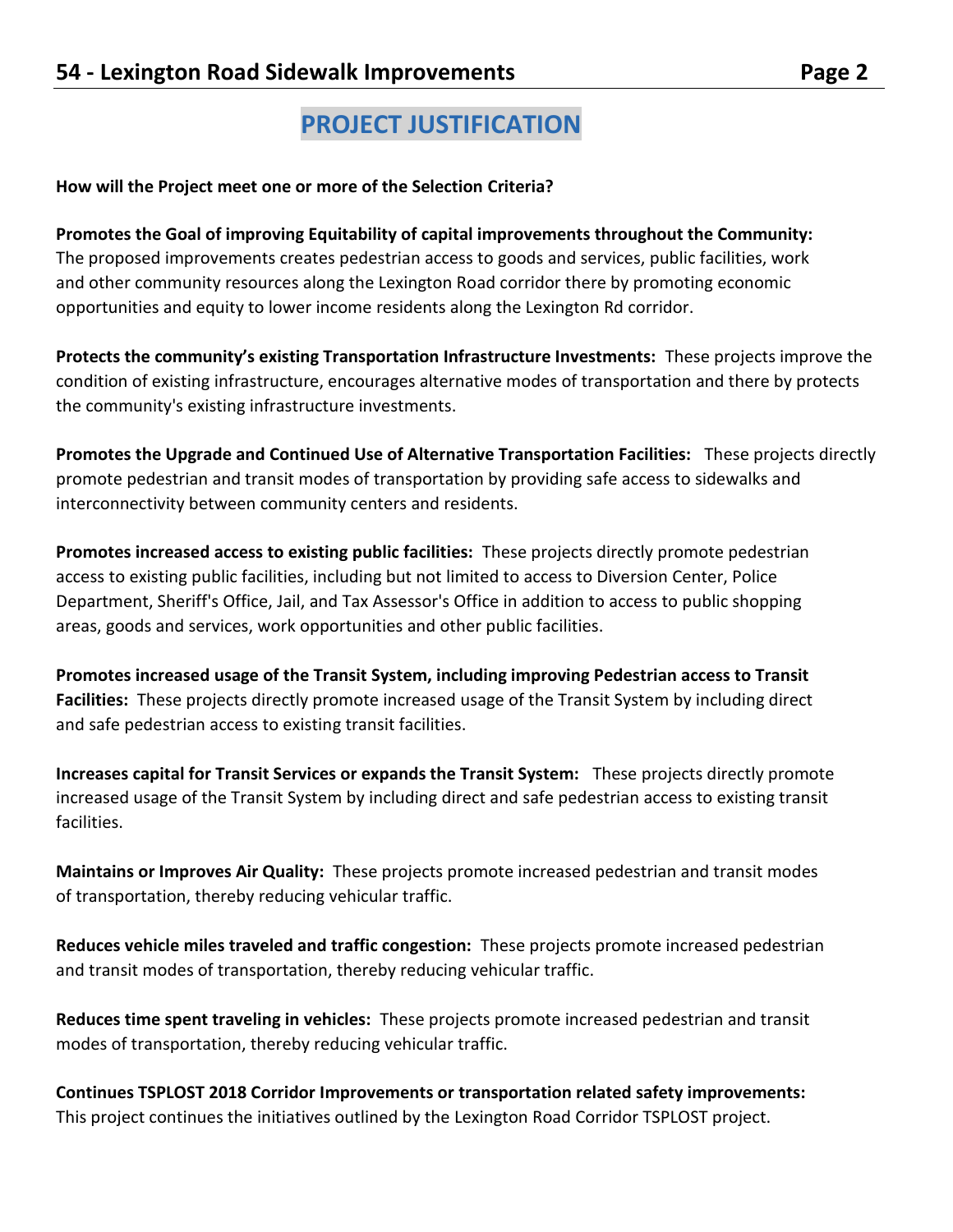## **PROJECT JUSTIFICATION**

#### **How will the Project meet one or more of the Selection Criteria?**

**Promotes the Goal of improving Equitability of capital improvements throughout the Community:**  The proposed improvements creates pedestrian access to goods and services, public facilities, work and other community resources along the Lexington Road corridor there by promoting economic opportunities and equity to lower income residents along the Lexington Rd corridor.

**Protects the community's existing Transportation Infrastructure Investments:** These projects improve the condition of existing infrastructure, encourages alternative modes of transportation and there by protects the community's existing infrastructure investments.

**Promotes the Upgrade and Continued Use of Alternative Transportation Facilities:** These projects directly promote pedestrian and transit modes of transportation by providing safe access to sidewalks and interconnectivity between community centers and residents.

**Promotes increased access to existing public facilities:** These projects directly promote pedestrian access to existing public facilities, including but not limited to access to Diversion Center, Police Department, Sheriff's Office, Jail, and Tax Assessor's Office in addition to access to public shopping areas, goods and services, work opportunities and other public facilities.

**Promotes increased usage of the Transit System, including improving Pedestrian access to Transit Facilities:** These projects directly promote increased usage of the Transit System by including direct and safe pedestrian access to existing transit facilities.

**Increases capital for Transit Services or expands the Transit System:** These projects directly promote increased usage of the Transit System by including direct and safe pedestrian access to existing transit facilities.

**Maintains or Improves Air Quality:** These projects promote increased pedestrian and transit modes of transportation, thereby reducing vehicular traffic.

**Reduces vehicle miles traveled and traffic congestion:** These projects promote increased pedestrian and transit modes of transportation, thereby reducing vehicular traffic.

**Reduces time spent traveling in vehicles:** These projects promote increased pedestrian and transit modes of transportation, thereby reducing vehicular traffic.

**Continues TSPLOST 2018 Corridor Improvements or transportation related safety improvements:**  This project continues the initiatives outlined by the Lexington Road Corridor TSPLOST project.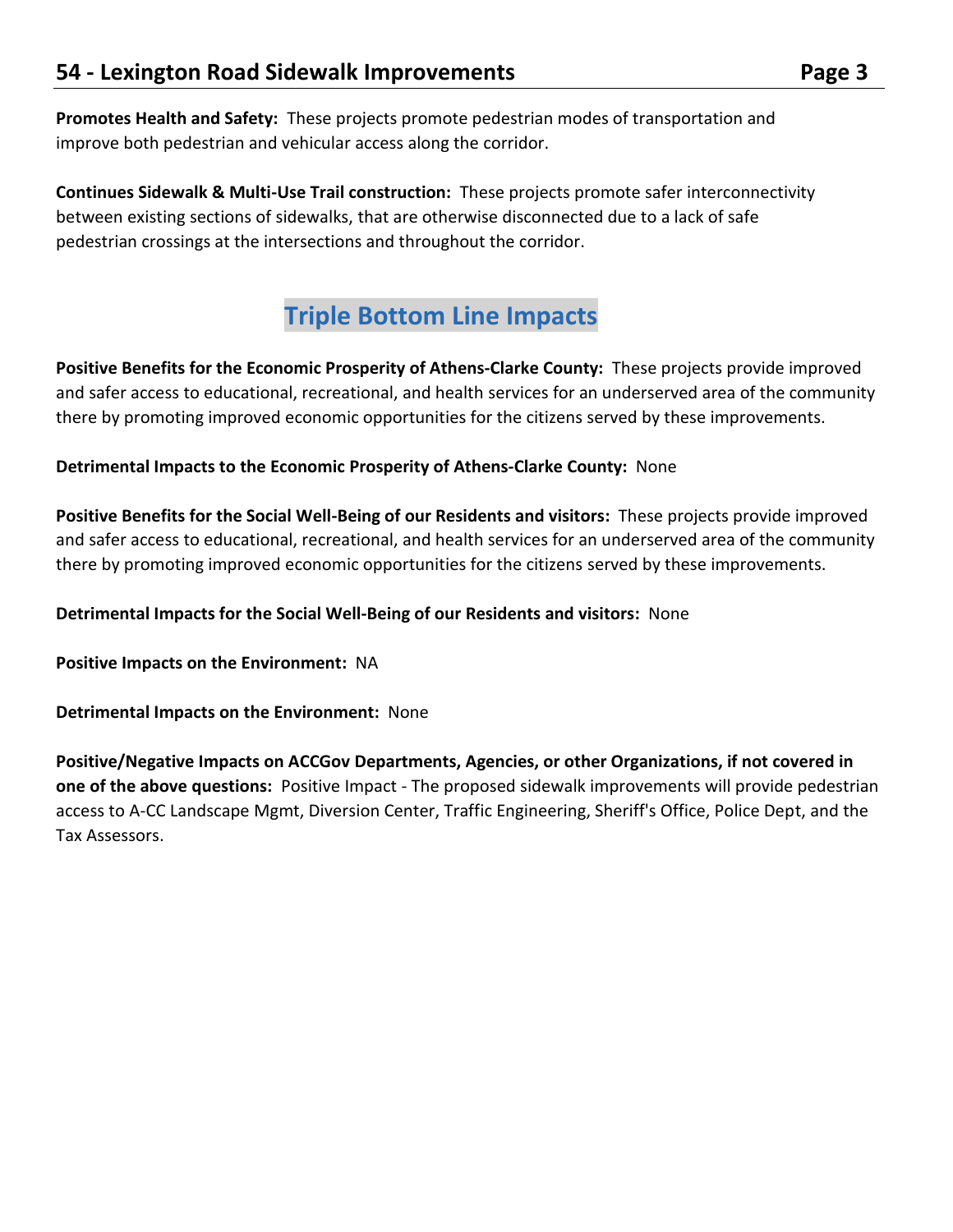**Promotes Health and Safety:** These projects promote pedestrian modes of transportation and improve both pedestrian and vehicular access along the corridor.

**Continues Sidewalk & Multi-Use Trail construction:** These projects promote safer interconnectivity between existing sections of sidewalks, that are otherwise disconnected due to a lack of safe pedestrian crossings at the intersections and throughout the corridor.

# **Triple Bottom Line Impacts**

**Positive Benefits for the Economic Prosperity of Athens-Clarke County:** These projects provide improved and safer access to educational, recreational, and health services for an underserved area of the community there by promoting improved economic opportunities for the citizens served by these improvements.

**Detrimental Impacts to the Economic Prosperity of Athens-Clarke County:** None

**Positive Benefits for the Social Well-Being of our Residents and visitors:** These projects provide improved and safer access to educational, recreational, and health services for an underserved area of the community there by promoting improved economic opportunities for the citizens served by these improvements.

**Detrimental Impacts for the Social Well-Being of our Residents and visitors:** None

**Positive Impacts on the Environment:** NA

**Detrimental Impacts on the Environment:** None

**Positive/Negative Impacts on ACCGov Departments, Agencies, or other Organizations, if not covered in one of the above questions:** Positive Impact - The proposed sidewalk improvements will provide pedestrian access to A-CC Landscape Mgmt, Diversion Center, Traffic Engineering, Sheriff's Office, Police Dept, and the Tax Assessors.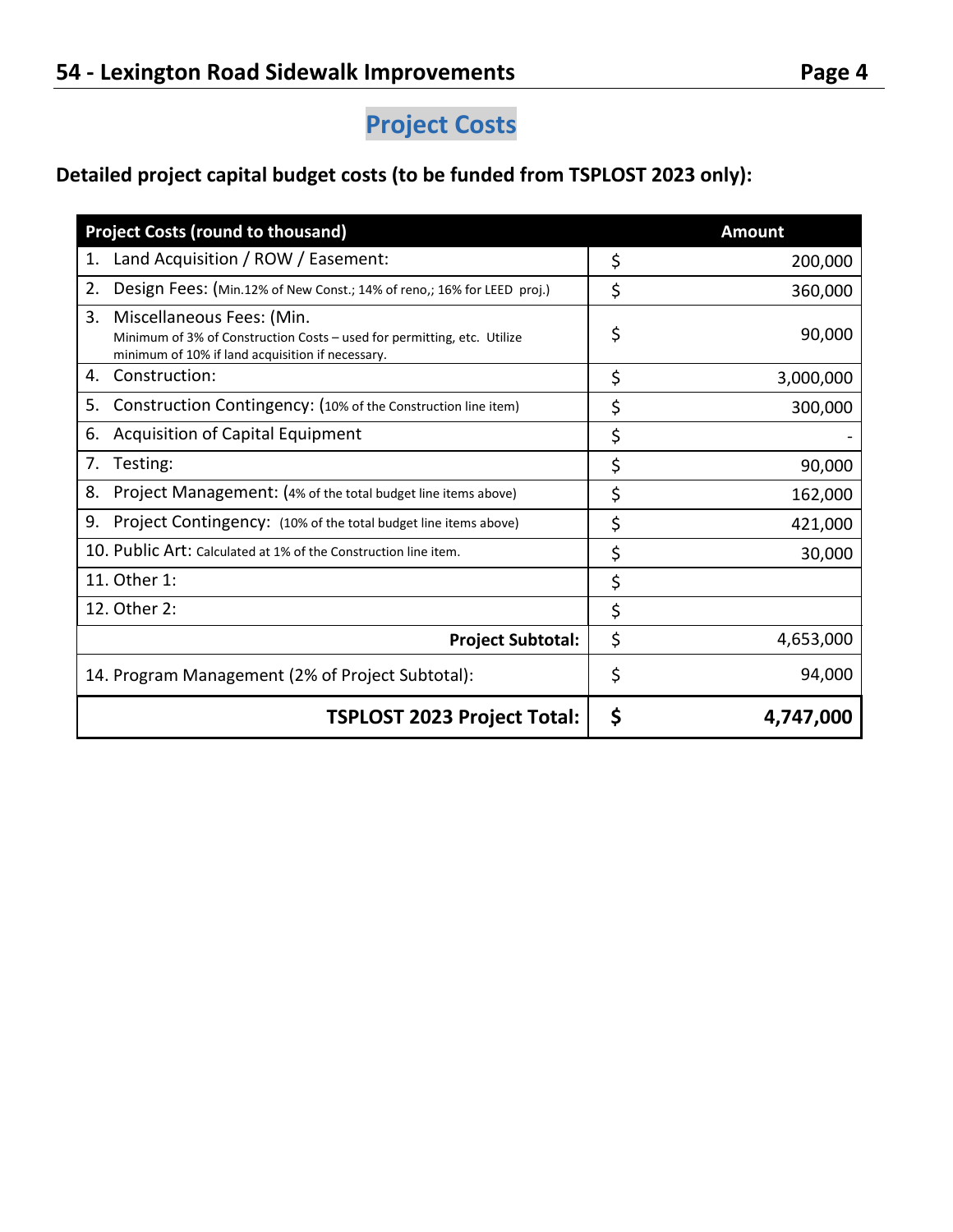# **Project Costs**

### **Detailed project capital budget costs (to be funded from TSPLOST 2023 only):**

| <b>Project Costs (round to thousand)</b>                                                                                                                       | <b>Amount</b>   |
|----------------------------------------------------------------------------------------------------------------------------------------------------------------|-----------------|
| Land Acquisition / ROW / Easement:<br>1.                                                                                                                       | \$<br>200,000   |
| 2.<br>Design Fees: (Min.12% of New Const.; 14% of reno,; 16% for LEED proj.)                                                                                   | \$<br>360,000   |
| 3.<br>Miscellaneous Fees: (Min.<br>Minimum of 3% of Construction Costs - used for permitting, etc. Utilize<br>minimum of 10% if land acquisition if necessary. | \$<br>90,000    |
| Construction:<br>4.                                                                                                                                            | \$<br>3,000,000 |
| Construction Contingency: (10% of the Construction line item)<br>5.                                                                                            | \$<br>300,000   |
| Acquisition of Capital Equipment<br>6.                                                                                                                         | \$              |
| 7.<br>Testing:                                                                                                                                                 | \$<br>90,000    |
| Project Management: (4% of the total budget line items above)<br>8.                                                                                            | \$<br>162,000   |
| 9.<br>Project Contingency: (10% of the total budget line items above)                                                                                          | \$<br>421,000   |
| 10. Public Art: Calculated at 1% of the Construction line item.                                                                                                | \$<br>30,000    |
| 11. Other 1:                                                                                                                                                   | \$              |
| 12. Other 2:                                                                                                                                                   | \$              |
| <b>Project Subtotal:</b>                                                                                                                                       | \$<br>4,653,000 |
| 14. Program Management (2% of Project Subtotal):                                                                                                               | \$<br>94,000    |
| <b>TSPLOST 2023 Project Total:</b>                                                                                                                             | \$<br>4,747,000 |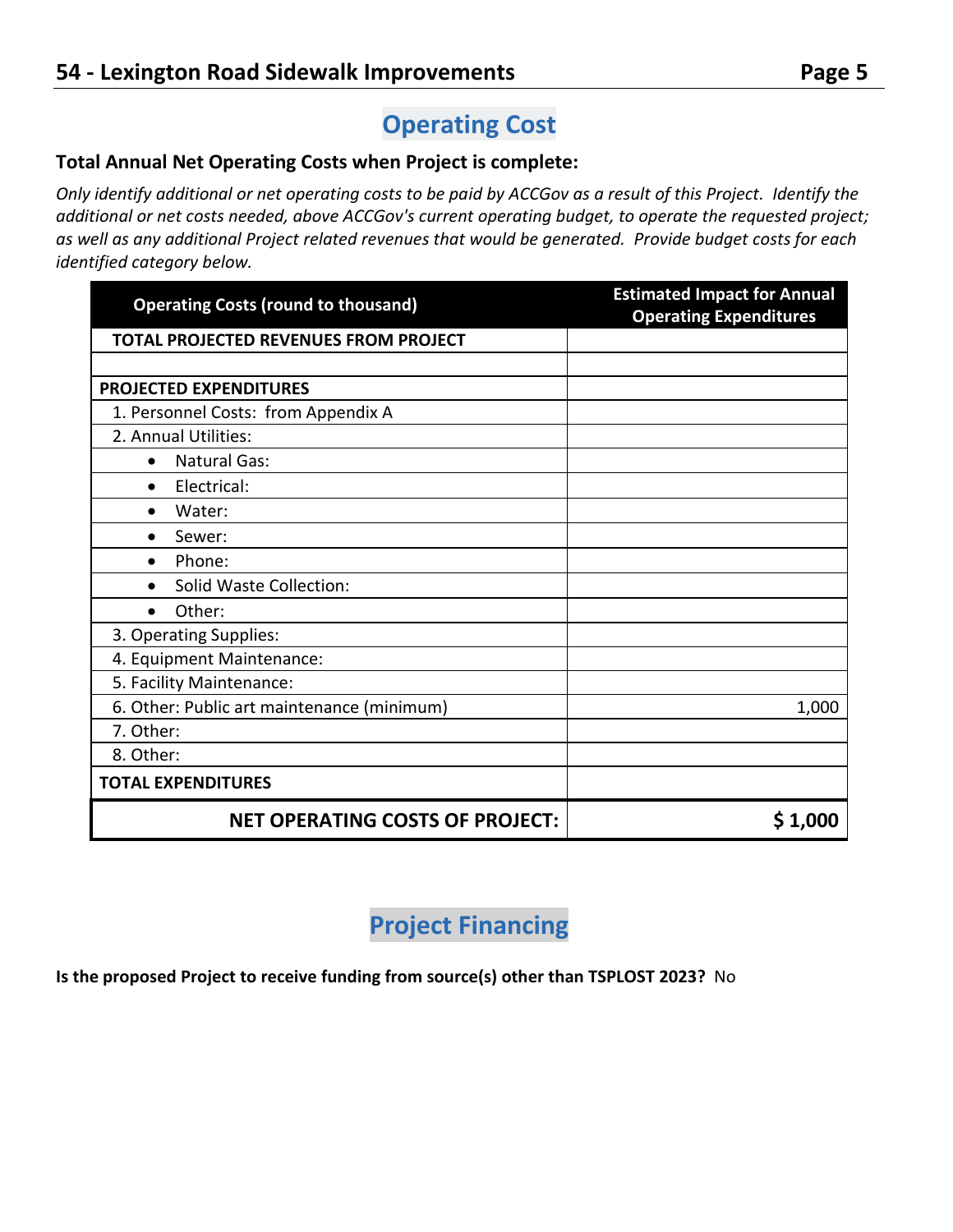# **Operating Cost**

### **Total Annual Net Operating Costs when Project is complete:**

*Only identify additional or net operating costs to be paid by ACCGov as a result of this Project. Identify the additional or net costs needed, above ACCGov's current operating budget, to operate the requested project; as well as any additional Project related revenues that would be generated. Provide budget costs for each identified category below.* 

| <b>Operating Costs (round to thousand)</b>   | <b>Estimated Impact for Annual</b><br><b>Operating Expenditures</b> |
|----------------------------------------------|---------------------------------------------------------------------|
| <b>TOTAL PROJECTED REVENUES FROM PROJECT</b> |                                                                     |
|                                              |                                                                     |
| <b>PROJECTED EXPENDITURES</b>                |                                                                     |
| 1. Personnel Costs: from Appendix A          |                                                                     |
| 2. Annual Utilities:                         |                                                                     |
| <b>Natural Gas:</b><br>$\bullet$             |                                                                     |
| Electrical:<br>$\bullet$                     |                                                                     |
| Water:                                       |                                                                     |
| Sewer:<br>$\bullet$                          |                                                                     |
| Phone:<br>$\bullet$                          |                                                                     |
| Solid Waste Collection:<br>$\bullet$         |                                                                     |
| Other:<br>$\bullet$                          |                                                                     |
| 3. Operating Supplies:                       |                                                                     |
| 4. Equipment Maintenance:                    |                                                                     |
| 5. Facility Maintenance:                     |                                                                     |
| 6. Other: Public art maintenance (minimum)   | 1,000                                                               |
| 7. Other:                                    |                                                                     |
| 8. Other:                                    |                                                                     |
| <b>TOTAL EXPENDITURES</b>                    |                                                                     |
| <b>NET OPERATING COSTS OF PROJECT:</b>       | \$1,000                                                             |

**Project Financing**

**Is the proposed Project to receive funding from source(s) other than TSPLOST 2023?** No